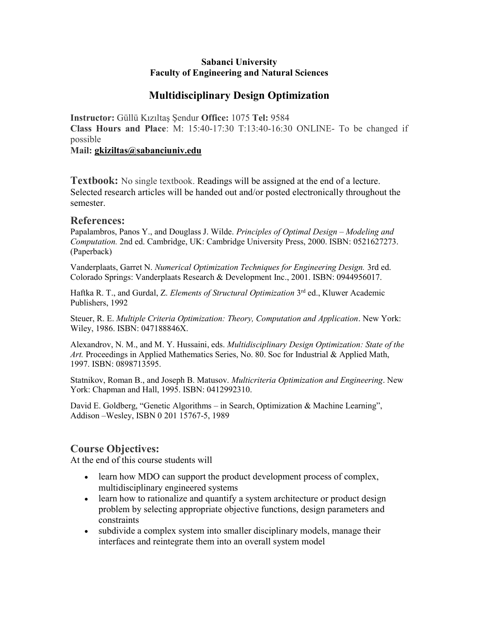#### Sabanci University Faculty of Engineering and Natural Sciences

## Multidisciplinary Design Optimization

Instructor: Güllü Kızıltaş Şendur Office: 1075 Tel: 9584 Class Hours and Place: M: 15:40-17:30 T:13:40-16:30 ONLINE- To be changed if possible

Mail: gkiziltas@sabanciuniv.edu

Textbook: No single textbook. Readings will be assigned at the end of a lecture. Selected research articles will be handed out and/or posted electronically throughout the semester.

#### References:

Papalambros, Panos Y., and Douglass J. Wilde. Principles of Optimal Design – Modeling and Computation. 2nd ed. Cambridge, UK: Cambridge University Press, 2000. ISBN: 0521627273. (Paperback)

Vanderplaats, Garret N. Numerical Optimization Techniques for Engineering Design. 3rd ed. Colorado Springs: Vanderplaats Research & Development Inc., 2001. ISBN: 0944956017.

Haftka R. T., and Gurdal, Z. Elements of Structural Optimization 3rd ed., Kluwer Academic Publishers, 1992

Steuer, R. E. Multiple Criteria Optimization: Theory, Computation and Application. New York: Wiley, 1986. ISBN: 047188846X.

Alexandrov, N. M., and M. Y. Hussaini, eds. Multidisciplinary Design Optimization: State of the Art. Proceedings in Applied Mathematics Series, No. 80. Soc for Industrial & Applied Math, 1997. ISBN: 0898713595.

Statnikov, Roman B., and Joseph B. Matusov. Multicriteria Optimization and Engineering. New York: Chapman and Hall, 1995. ISBN: 0412992310.

David E. Goldberg, "Genetic Algorithms – in Search, Optimization & Machine Learning", Addison –Wesley, ISBN 0 201 15767-5, 1989

### Course Objectives:

At the end of this course students will

- learn how MDO can support the product development process of complex, multidisciplinary engineered systems
- learn how to rationalize and quantify a system architecture or product design problem by selecting appropriate objective functions, design parameters and constraints
- subdivide a complex system into smaller disciplinary models, manage their interfaces and reintegrate them into an overall system model